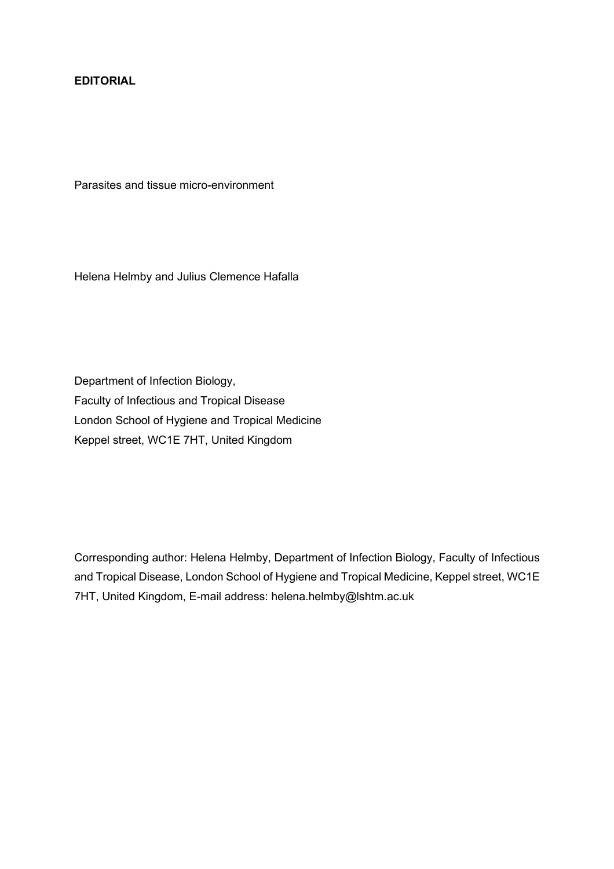## **EDITORIAL**

Parasites and tissue micro-environment

Helena Helmby and Julius Clemence Hafalla

Department of Infection Biology, Faculty of Infectious and Tropical Disease London School of Hygiene and Tropical Medicine Keppel street, WC1E 7HT, United Kingdom

Corresponding author: Helena Helmby, Department of Infection Biology, Faculty of Infectious and Tropical Disease, London School of Hygiene and Tropical Medicine, Keppel street, WC1E 7HT, United Kingdom, E-mail address: helena.helmby@lshtm.ac.uk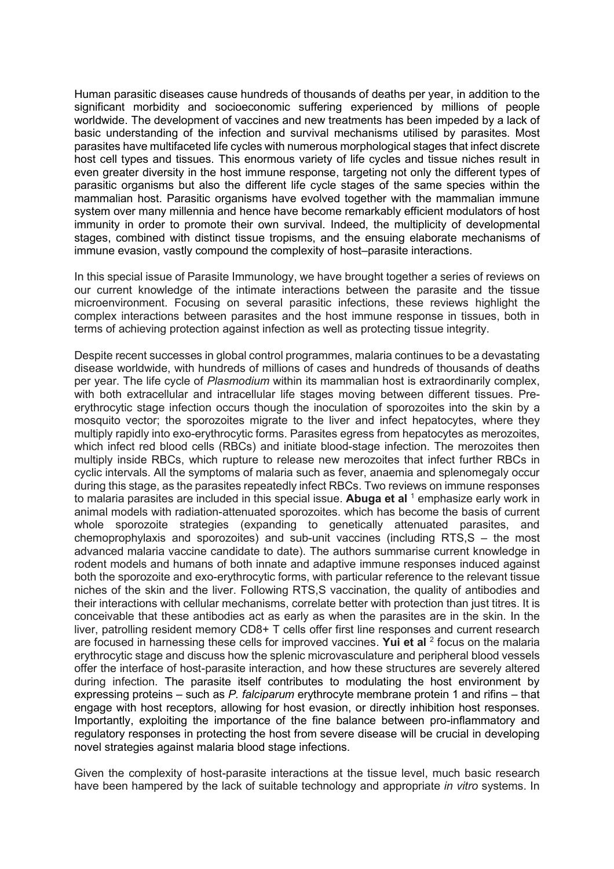Human parasitic diseases cause hundreds of thousands of deaths per year, in addition to the significant morbidity and socioeconomic suffering experienced by millions of people worldwide. The development of vaccines and new treatments has been impeded by a lack of basic understanding of the infection and survival mechanisms utilised by parasites. Most parasites have multifaceted life cycles with numerous morphological stages that infect discrete host cell types and tissues. This enormous variety of life cycles and tissue niches result in even greater diversity in the host immune response, targeting not only the different types of parasitic organisms but also the different life cycle stages of the same species within the mammalian host. Parasitic organisms have evolved together with the mammalian immune system over many millennia and hence have become remarkably efficient modulators of host immunity in order to promote their own survival. Indeed, the multiplicity of developmental stages, combined with distinct tissue tropisms, and the ensuing elaborate mechanisms of immune evasion, vastly compound the complexity of host–parasite interactions.

In this special issue of Parasite Immunology, we have brought together a series of reviews on our current knowledge of the intimate interactions between the parasite and the tissue microenvironment. Focusing on several parasitic infections, these reviews highlight the complex interactions between parasites and the host immune response in tissues, both in terms of achieving protection against infection as well as protecting tissue integrity.

Despite recent successes in global control programmes, malaria continues to be a devastating disease worldwide, with hundreds of millions of cases and hundreds of thousands of deaths per year. The life cycle of *Plasmodium* within its mammalian host is extraordinarily complex, with both extracellular and intracellular life stages moving between different tissues. Preerythrocytic stage infection occurs though the inoculation of sporozoites into the skin by a mosquito vector; the sporozoites migrate to the liver and infect hepatocytes, where they multiply rapidly into exo-erythrocytic forms. Parasites egress from hepatocytes as merozoites, which infect red blood cells (RBCs) and initiate blood-stage infection. The merozoites then multiply inside RBCs, which rupture to release new merozoites that infect further RBCs in cyclic intervals. All the symptoms of malaria such as fever, anaemia and splenomegaly occur during this stage, as the parasites repeatedly infect RBCs. Two reviews on immune responses to malaria parasites are included in this special issue. **Abuga et al** <sup>1</sup> emphasize early work in animal models with radiation-attenuated sporozoites. which has become the basis of current whole sporozoite strategies (expanding to genetically attenuated parasites, and chemoprophylaxis and sporozoites) and sub-unit vaccines (including RTS,S – the most advanced malaria vaccine candidate to date). The authors summarise current knowledge in rodent models and humans of both innate and adaptive immune responses induced against both the sporozoite and exo-erythrocytic forms, with particular reference to the relevant tissue niches of the skin and the liver. Following RTS,S vaccination, the quality of antibodies and their interactions with cellular mechanisms, correlate better with protection than just titres. It is conceivable that these antibodies act as early as when the parasites are in the skin. In the liver, patrolling resident memory CD8+ T cells offer first line responses and current research are focused in harnessing these cells for improved vaccines. Yui et al <sup>2</sup> focus on the malaria erythrocytic stage and discuss how the splenic microvasculature and peripheral blood vessels offer the interface of host-parasite interaction, and how these structures are severely altered during infection. The parasite itself contributes to modulating the host environment by expressing proteins – such as *P. falciparum* erythrocyte membrane protein 1 and rifins – that engage with host receptors, allowing for host evasion, or directly inhibition host responses. Importantly, exploiting the importance of the fine balance between pro-inflammatory and regulatory responses in protecting the host from severe disease will be crucial in developing novel strategies against malaria blood stage infections.

Given the complexity of host-parasite interactions at the tissue level, much basic research have been hampered by the lack of suitable technology and appropriate *in vitro* systems. In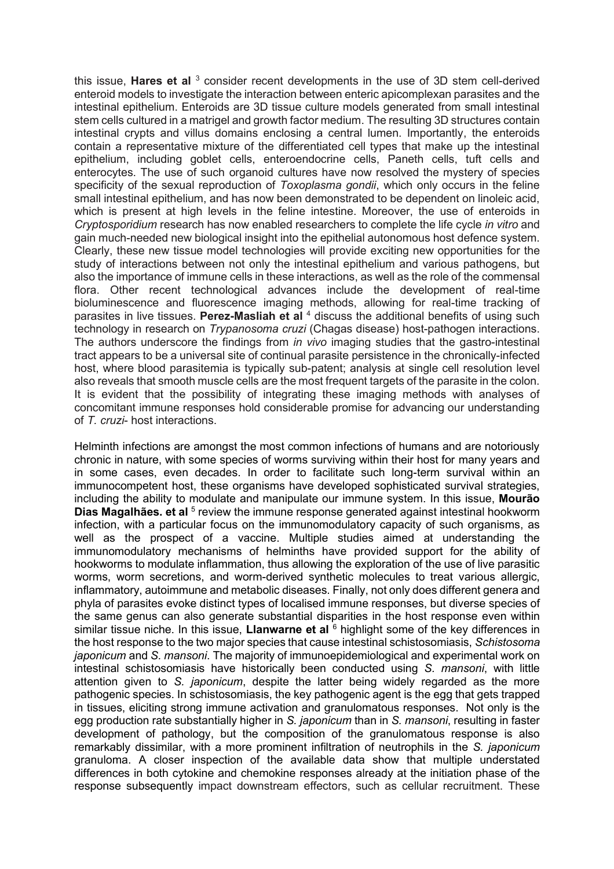this issue, **Hares et al** <sup>3</sup> consider recent developments in the use of 3D stem cell-derived enteroid models to investigate the interaction between enteric apicomplexan parasites and the intestinal epithelium. Enteroids are 3D tissue culture models generated from small intestinal stem cells cultured in a matrigel and growth factor medium. The resulting 3D structures contain intestinal crypts and villus domains enclosing a central lumen. Importantly, the enteroids contain a representative mixture of the differentiated cell types that make up the intestinal epithelium, including goblet cells, enteroendocrine cells, Paneth cells, tuft cells and enterocytes. The use of such organoid cultures have now resolved the mystery of species specificity of the sexual reproduction of *Toxoplasma gondii*, which only occurs in the feline small intestinal epithelium, and has now been demonstrated to be dependent on linoleic acid, which is present at high levels in the feline intestine. Moreover, the use of enteroids in *Cryptosporidium* research has now enabled researchers to complete the life cycle *in vitro* and gain much-needed new biological insight into the epithelial autonomous host defence system. Clearly, these new tissue model technologies will provide exciting new opportunities for the study of interactions between not only the intestinal epithelium and various pathogens, but also the importance of immune cells in these interactions, as well as the role of the commensal flora. Other recent technological advances include the development of real-time bioluminescence and fluorescence imaging methods, allowing for real-time tracking of parasites in live tissues. **Perez-Masliah et al** <sup>4</sup> discuss the additional benefits of using such technology in research on *Trypanosoma cruzi* (Chagas disease) host-pathogen interactions. The authors underscore the findings from *in vivo* imaging studies that the gastro-intestinal tract appears to be a universal site of continual parasite persistence in the chronically-infected host, where blood parasitemia is typically sub-patent; analysis at single cell resolution level also reveals that smooth muscle cells are the most frequent targets of the parasite in the colon. It is evident that the possibility of integrating these imaging methods with analyses of concomitant immune responses hold considerable promise for advancing our understanding of *T. cruzi*- host interactions.

Helminth infections are amongst the most common infections of humans and are notoriously chronic in nature, with some species of worms surviving within their host for many years and in some cases, even decades. In order to facilitate such long-term survival within an immunocompetent host, these organisms have developed sophisticated survival strategies, including the ability to modulate and manipulate our immune system. In this issue, **Mourão**  Dias Magalhães. et al <sup>5</sup> review the immune response generated against intestinal hookworm infection, with a particular focus on the immunomodulatory capacity of such organisms, as well as the prospect of a vaccine. Multiple studies aimed at understanding the immunomodulatory mechanisms of helminths have provided support for the ability of hookworms to modulate inflammation, thus allowing the exploration of the use of live parasitic worms, worm secretions, and worm-derived synthetic molecules to treat various allergic, inflammatory, autoimmune and metabolic diseases. Finally, not only does different genera and phyla of parasites evoke distinct types of localised immune responses, but diverse species of the same genus can also generate substantial disparities in the host response even within similar tissue niche. In this issue, **Llanwarne et al** <sup>6</sup> highlight some of the key differences in the host response to the two major species that cause intestinal schistosomiasis, *Schistosoma japonicum* and *S. mansoni*. The majority of immunoepidemiological and experimental work on intestinal schistosomiasis have historically been conducted using *S. mansoni*, with little attention given to *S. japonicum*, despite the latter being widely regarded as the more pathogenic species. In schistosomiasis, the key pathogenic agent is the egg that gets trapped in tissues, eliciting strong immune activation and granulomatous responses. Not only is the egg production rate substantially higher in *S. japonicum* than in *S. mansoni*, resulting in faster development of pathology, but the composition of the granulomatous response is also remarkably dissimilar, with a more prominent infiltration of neutrophils in the *S. japonicum* granuloma. A closer inspection of the available data show that multiple understated differences in both cytokine and chemokine responses already at the initiation phase of the response subsequently impact downstream effectors, such as cellular recruitment. These